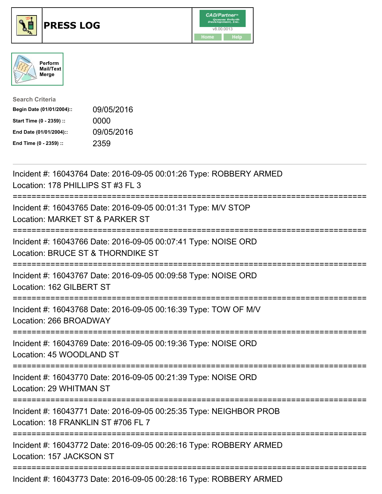





| <b>Search Criteria</b>    |            |
|---------------------------|------------|
| Begin Date (01/01/2004):: | 09/05/2016 |
| Start Time (0 - 2359) ::  | 0000       |
| End Date (01/01/2004)::   | 09/05/2016 |
| End Time (0 - 2359) ::    | 2359       |

| Incident #: 16043764 Date: 2016-09-05 00:01:26 Type: ROBBERY ARMED<br>Location: 178 PHILLIPS ST #3 FL 3                             |
|-------------------------------------------------------------------------------------------------------------------------------------|
| Incident #: 16043765 Date: 2016-09-05 00:01:31 Type: M/V STOP<br>Location: MARKET ST & PARKER ST                                    |
| Incident #: 16043766 Date: 2016-09-05 00:07:41 Type: NOISE ORD<br>Location: BRUCE ST & THORNDIKE ST                                 |
| Incident #: 16043767 Date: 2016-09-05 00:09:58 Type: NOISE ORD<br>Location: 162 GILBERT ST                                          |
| Incident #: 16043768 Date: 2016-09-05 00:16:39 Type: TOW OF M/V<br>Location: 266 BROADWAY                                           |
| Incident #: 16043769 Date: 2016-09-05 00:19:36 Type: NOISE ORD<br>Location: 45 WOODLAND ST<br>.------------------------------------ |
| Incident #: 16043770 Date: 2016-09-05 00:21:39 Type: NOISE ORD<br>Location: 29 WHITMAN ST                                           |
| Incident #: 16043771 Date: 2016-09-05 00:25:35 Type: NEIGHBOR PROB<br>Location: 18 FRANKLIN ST #706 FL 7                            |
| ============================<br>Incident #: 16043772 Date: 2016-09-05 00:26:16 Type: ROBBERY ARMED<br>Location: 157 JACKSON ST      |
| Incident #: 16043773 Date: 2016-09-05 00:28:16 Type: ROBBERY ARMED                                                                  |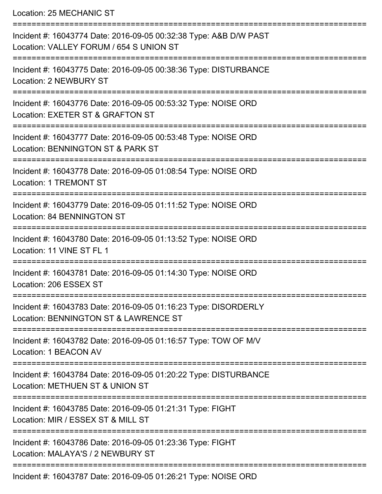Location: 25 MECHANIC ST

| Incident #: 16043774 Date: 2016-09-05 00:32:38 Type: A&B D/W PAST<br>Location: VALLEY FORUM / 654 S UNION ST |
|--------------------------------------------------------------------------------------------------------------|
| Incident #: 16043775 Date: 2016-09-05 00:38:36 Type: DISTURBANCE<br><b>Location: 2 NEWBURY ST</b>            |
| Incident #: 16043776 Date: 2016-09-05 00:53:32 Type: NOISE ORD<br>Location: EXETER ST & GRAFTON ST           |
| Incident #: 16043777 Date: 2016-09-05 00:53:48 Type: NOISE ORD<br>Location: BENNINGTON ST & PARK ST          |
| Incident #: 16043778 Date: 2016-09-05 01:08:54 Type: NOISE ORD<br><b>Location: 1 TREMONT ST</b>              |
| Incident #: 16043779 Date: 2016-09-05 01:11:52 Type: NOISE ORD<br>Location: 84 BENNINGTON ST                 |
| Incident #: 16043780 Date: 2016-09-05 01:13:52 Type: NOISE ORD<br>Location: 11 VINE ST FL 1                  |
| Incident #: 16043781 Date: 2016-09-05 01:14:30 Type: NOISE ORD<br>Location: 206 ESSEX ST                     |
| Incident #: 16043783 Date: 2016-09-05 01:16:23 Type: DISORDERLY<br>Location: BENNINGTON ST & LAWRENCE ST     |
| Incident #: 16043782 Date: 2016-09-05 01:16:57 Type: TOW OF M/V<br>Location: 1 BEACON AV                     |
| Incident #: 16043784 Date: 2016-09-05 01:20:22 Type: DISTURBANCE<br>Location: METHUEN ST & UNION ST          |
| Incident #: 16043785 Date: 2016-09-05 01:21:31 Type: FIGHT<br>Location: MIR / ESSEX ST & MILL ST             |
| Incident #: 16043786 Date: 2016-09-05 01:23:36 Type: FIGHT<br>Location: MALAYA'S / 2 NEWBURY ST              |
| Incident #: 16043787 Date: 2016-09-05 01:26:21 Type: NOISE ORD                                               |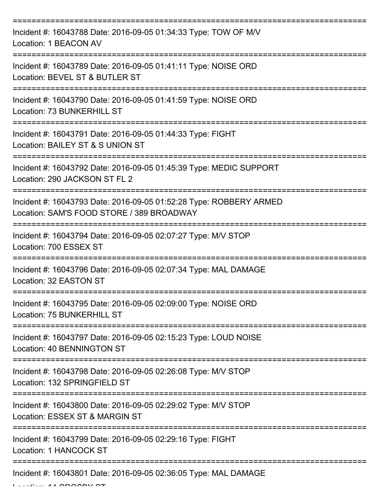| Incident #: 16043788 Date: 2016-09-05 01:34:33 Type: TOW OF M/V<br>Location: 1 BEACON AV                                                                   |
|------------------------------------------------------------------------------------------------------------------------------------------------------------|
| Incident #: 16043789 Date: 2016-09-05 01:41:11 Type: NOISE ORD<br>Location: BEVEL ST & BUTLER ST                                                           |
| Incident #: 16043790 Date: 2016-09-05 01:41:59 Type: NOISE ORD<br>Location: 73 BUNKERHILL ST                                                               |
| Incident #: 16043791 Date: 2016-09-05 01:44:33 Type: FIGHT<br>Location: BAILEY ST & S UNION ST                                                             |
| Incident #: 16043792 Date: 2016-09-05 01:45:39 Type: MEDIC SUPPORT<br>Location: 290 JACKSON ST FL 2                                                        |
| :=================<br>=================<br>Incident #: 16043793 Date: 2016-09-05 01:52:28 Type: ROBBERY ARMED<br>Location: SAM'S FOOD STORE / 389 BROADWAY |
| Incident #: 16043794 Date: 2016-09-05 02:07:27 Type: M/V STOP<br>Location: 700 ESSEX ST                                                                    |
| Incident #: 16043796 Date: 2016-09-05 02:07:34 Type: MAL DAMAGE<br>Location: 32 EASTON ST                                                                  |
| Incident #: 16043795 Date: 2016-09-05 02:09:00 Type: NOISE ORD<br>Location: 75 BUNKERHILL ST                                                               |
| Incident #: 16043797 Date: 2016-09-05 02:15:23 Type: LOUD NOISE<br>Location: 40 BENNINGTON ST                                                              |
| Incident #: 16043798 Date: 2016-09-05 02:26:08 Type: M/V STOP<br>Location: 132 SPRINGFIELD ST                                                              |
| Incident #: 16043800 Date: 2016-09-05 02:29:02 Type: M/V STOP<br>Location: ESSEX ST & MARGIN ST                                                            |
| Incident #: 16043799 Date: 2016-09-05 02:29:16 Type: FIGHT<br><b>Location: 1 HANCOCK ST</b>                                                                |
| Incident #: 16043801 Date: 2016-09-05 02:36:05 Type: MAL DAMAGE                                                                                            |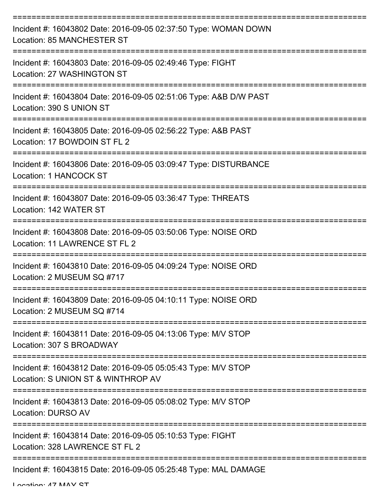| Incident #: 16043802 Date: 2016-09-05 02:37:50 Type: WOMAN DOWN<br><b>Location: 85 MANCHESTER ST</b>                          |
|-------------------------------------------------------------------------------------------------------------------------------|
| Incident #: 16043803 Date: 2016-09-05 02:49:46 Type: FIGHT<br>Location: 27 WASHINGTON ST                                      |
| Incident #: 16043804 Date: 2016-09-05 02:51:06 Type: A&B D/W PAST<br>Location: 390 S UNION ST                                 |
| Incident #: 16043805 Date: 2016-09-05 02:56:22 Type: A&B PAST<br>Location: 17 BOWDOIN ST FL 2                                 |
| Incident #: 16043806 Date: 2016-09-05 03:09:47 Type: DISTURBANCE<br>Location: 1 HANCOCK ST<br>=============================== |
| Incident #: 16043807 Date: 2016-09-05 03:36:47 Type: THREATS<br>Location: 142 WATER ST                                        |
| Incident #: 16043808 Date: 2016-09-05 03:50:06 Type: NOISE ORD<br>Location: 11 LAWRENCE ST FL 2                               |
| Incident #: 16043810 Date: 2016-09-05 04:09:24 Type: NOISE ORD<br>Location: 2 MUSEUM SQ #717                                  |
| Incident #: 16043809 Date: 2016-09-05 04:10:11 Type: NOISE ORD<br>Location: 2 MUSEUM SQ #714                                  |
| Incident #: 16043811 Date: 2016-09-05 04:13:06 Type: M/V STOP<br>Location: 307 S BROADWAY                                     |
| Incident #: 16043812 Date: 2016-09-05 05:05:43 Type: M/V STOP<br>Location: S UNION ST & WINTHROP AV                           |
| Incident #: 16043813 Date: 2016-09-05 05:08:02 Type: M/V STOP<br><b>Location: DURSO AV</b>                                    |
| Incident #: 16043814 Date: 2016-09-05 05:10:53 Type: FIGHT<br>Location: 328 LAWRENCE ST FL 2                                  |
| Incident #: 16043815 Date: 2016-09-05 05:25:48 Type: MAL DAMAGE                                                               |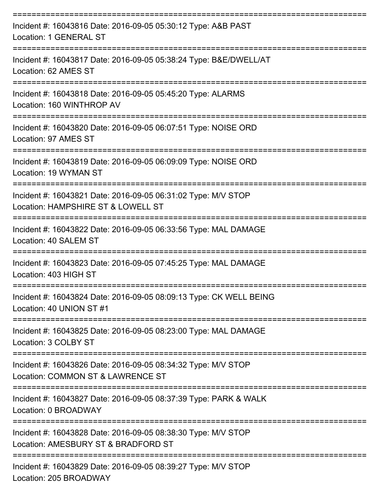| Incident #: 16043816 Date: 2016-09-05 05:30:12 Type: A&B PAST<br>Location: 1 GENERAL ST              |
|------------------------------------------------------------------------------------------------------|
| Incident #: 16043817 Date: 2016-09-05 05:38:24 Type: B&E/DWELL/AT<br>Location: 62 AMES ST            |
| Incident #: 16043818 Date: 2016-09-05 05:45:20 Type: ALARMS<br>Location: 160 WINTHROP AV             |
| Incident #: 16043820 Date: 2016-09-05 06:07:51 Type: NOISE ORD<br>Location: 97 AMES ST               |
| Incident #: 16043819 Date: 2016-09-05 06:09:09 Type: NOISE ORD<br>Location: 19 WYMAN ST              |
| Incident #: 16043821 Date: 2016-09-05 06:31:02 Type: M/V STOP<br>Location: HAMPSHIRE ST & LOWELL ST  |
| Incident #: 16043822 Date: 2016-09-05 06:33:56 Type: MAL DAMAGE<br>Location: 40 SALEM ST             |
| Incident #: 16043823 Date: 2016-09-05 07:45:25 Type: MAL DAMAGE<br>Location: 403 HIGH ST             |
| Incident #: 16043824 Date: 2016-09-05 08:09:13 Type: CK WELL BEING<br>Location: 40 UNION ST #1       |
| Incident #: 16043825 Date: 2016-09-05 08:23:00 Type: MAL DAMAGE<br>Location: 3 COLBY ST              |
| Incident #: 16043826 Date: 2016-09-05 08:34:32 Type: M/V STOP<br>Location: COMMON ST & LAWRENCE ST   |
| Incident #: 16043827 Date: 2016-09-05 08:37:39 Type: PARK & WALK<br>Location: 0 BROADWAY             |
| Incident #: 16043828 Date: 2016-09-05 08:38:30 Type: M/V STOP<br>Location: AMESBURY ST & BRADFORD ST |
| Incident #: 16043829 Date: 2016-09-05 08:39:27 Type: M/V STOP<br>Location: 205 BROADWAY              |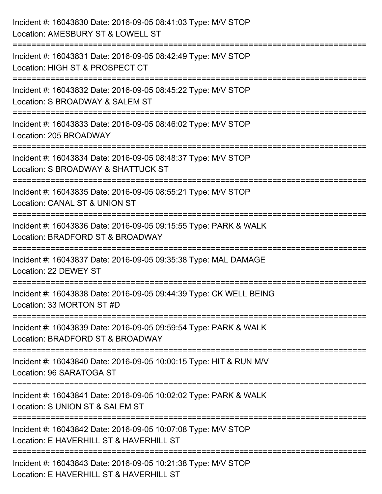| Incident #: 16043830 Date: 2016-09-05 08:41:03 Type: M/V STOP<br>Location: AMESBURY ST & LOWELL ST                                |
|-----------------------------------------------------------------------------------------------------------------------------------|
| :============================<br>Incident #: 16043831 Date: 2016-09-05 08:42:49 Type: M/V STOP<br>Location: HIGH ST & PROSPECT CT |
| Incident #: 16043832 Date: 2016-09-05 08:45:22 Type: M/V STOP<br>Location: S BROADWAY & SALEM ST                                  |
| Incident #: 16043833 Date: 2016-09-05 08:46:02 Type: M/V STOP<br>Location: 205 BROADWAY                                           |
| Incident #: 16043834 Date: 2016-09-05 08:48:37 Type: M/V STOP<br>Location: S BROADWAY & SHATTUCK ST                               |
| Incident #: 16043835 Date: 2016-09-05 08:55:21 Type: M/V STOP<br>Location: CANAL ST & UNION ST                                    |
| Incident #: 16043836 Date: 2016-09-05 09:15:55 Type: PARK & WALK<br>Location: BRADFORD ST & BROADWAY                              |
| Incident #: 16043837 Date: 2016-09-05 09:35:38 Type: MAL DAMAGE<br>Location: 22 DEWEY ST                                          |
| Incident #: 16043838 Date: 2016-09-05 09:44:39 Type: CK WELL BEING<br>Location: 33 MORTON ST #D                                   |
| Incident #: 16043839 Date: 2016-09-05 09:59:54 Type: PARK & WALK<br>Location: BRADFORD ST & BROADWAY                              |
| Incident #: 16043840 Date: 2016-09-05 10:00:15 Type: HIT & RUN M/V<br>Location: 96 SARATOGA ST                                    |
| Incident #: 16043841 Date: 2016-09-05 10:02:02 Type: PARK & WALK<br>Location: S UNION ST & SALEM ST                               |
| Incident #: 16043842 Date: 2016-09-05 10:07:08 Type: M/V STOP<br>Location: E HAVERHILL ST & HAVERHILL ST                          |
| Incident #: 16043843 Date: 2016-09-05 10:21:38 Type: M/V STOP<br>Location: E HAVERHILL ST & HAVERHILL ST                          |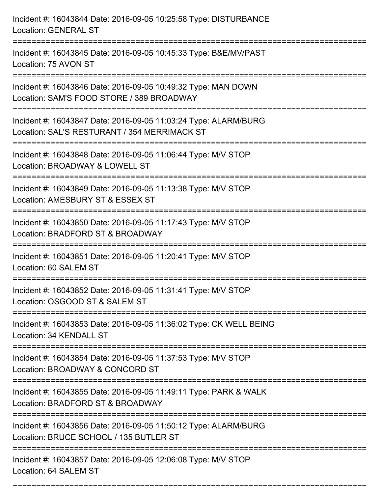| Incident #: 16043844 Date: 2016-09-05 10:25:58 Type: DISTURBANCE<br><b>Location: GENERAL ST</b>                                              |
|----------------------------------------------------------------------------------------------------------------------------------------------|
| ----------------<br>Incident #: 16043845 Date: 2016-09-05 10:45:33 Type: B&E/MV/PAST<br>Location: 75 AVON ST                                 |
| Incident #: 16043846 Date: 2016-09-05 10:49:32 Type: MAN DOWN<br>Location: SAM'S FOOD STORE / 389 BROADWAY<br>============================== |
| Incident #: 16043847 Date: 2016-09-05 11:03:24 Type: ALARM/BURG<br>Location: SAL'S RESTURANT / 354 MERRIMACK ST                              |
| Incident #: 16043848 Date: 2016-09-05 11:06:44 Type: M/V STOP<br>Location: BROADWAY & LOWELL ST                                              |
| Incident #: 16043849 Date: 2016-09-05 11:13:38 Type: M/V STOP<br>Location: AMESBURY ST & ESSEX ST                                            |
| Incident #: 16043850 Date: 2016-09-05 11:17:43 Type: M/V STOP<br>Location: BRADFORD ST & BROADWAY                                            |
| Incident #: 16043851 Date: 2016-09-05 11:20:41 Type: M/V STOP<br>Location: 60 SALEM ST                                                       |
| Incident #: 16043852 Date: 2016-09-05 11:31:41 Type: M/V STOP<br>Location: OSGOOD ST & SALEM ST                                              |
| Incident #: 16043853 Date: 2016-09-05 11:36:02 Type: CK WELL BEING<br>Location: 34 KENDALL ST                                                |
| Incident #: 16043854 Date: 2016-09-05 11:37:53 Type: M/V STOP<br>Location: BROADWAY & CONCORD ST                                             |
| Incident #: 16043855 Date: 2016-09-05 11:49:11 Type: PARK & WALK<br>Location: BRADFORD ST & BROADWAY                                         |
| Incident #: 16043856 Date: 2016-09-05 11:50:12 Type: ALARM/BURG<br>Location: BRUCE SCHOOL / 135 BUTLER ST                                    |
| Incident #: 16043857 Date: 2016-09-05 12:06:08 Type: M/V STOP<br>Location: 64 SALEM ST                                                       |

===========================================================================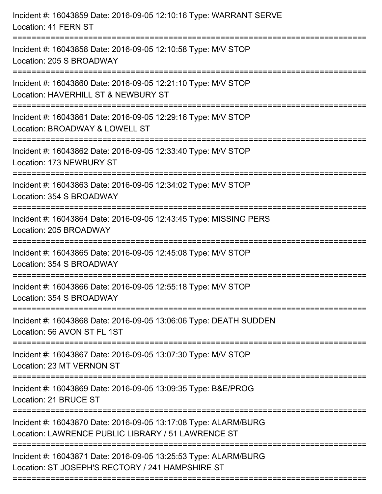| Incident #: 16043859 Date: 2016-09-05 12:10:16 Type: WARRANT SERVE<br>Location: 41 FERN ST                                   |
|------------------------------------------------------------------------------------------------------------------------------|
| Incident #: 16043858 Date: 2016-09-05 12:10:58 Type: M/V STOP<br>Location: 205 S BROADWAY                                    |
| Incident #: 16043860 Date: 2016-09-05 12:21:10 Type: M/V STOP<br>Location: HAVERHILL ST & NEWBURY ST<br>==================== |
| Incident #: 16043861 Date: 2016-09-05 12:29:16 Type: M/V STOP<br>Location: BROADWAY & LOWELL ST<br>:======================   |
| Incident #: 16043862 Date: 2016-09-05 12:33:40 Type: M/V STOP<br>Location: 173 NEWBURY ST                                    |
| Incident #: 16043863 Date: 2016-09-05 12:34:02 Type: M/V STOP<br>Location: 354 S BROADWAY                                    |
| Incident #: 16043864 Date: 2016-09-05 12:43:45 Type: MISSING PERS<br>Location: 205 BROADWAY                                  |
| Incident #: 16043865 Date: 2016-09-05 12:45:08 Type: M/V STOP<br>Location: 354 S BROADWAY                                    |
| Incident #: 16043866 Date: 2016-09-05 12:55:18 Type: M/V STOP<br>Location: 354 S BROADWAY                                    |
| Incident #: 16043868 Date: 2016-09-05 13:06:06 Type: DEATH SUDDEN<br>Location: 56 AVON ST FL 1ST                             |
| Incident #: 16043867 Date: 2016-09-05 13:07:30 Type: M/V STOP<br>Location: 23 MT VERNON ST                                   |
| Incident #: 16043869 Date: 2016-09-05 13:09:35 Type: B&E/PROG<br>Location: 21 BRUCE ST                                       |
| Incident #: 16043870 Date: 2016-09-05 13:17:08 Type: ALARM/BURG<br>Location: LAWRENCE PUBLIC LIBRARY / 51 LAWRENCE ST        |
| Incident #: 16043871 Date: 2016-09-05 13:25:53 Type: ALARM/BURG<br>Location: ST JOSEPH'S RECTORY / 241 HAMPSHIRE ST          |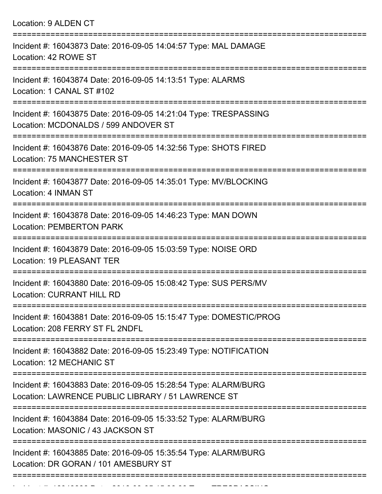Location: 9 ALDEN CT =========================================================================== Incident #: 16043873 Date: 2016-09-05 14:04:57 Type: MAL DAMAGE Location: 42 ROWE ST =========================================================================== Incident #: 16043874 Date: 2016-09-05 14:13:51 Type: ALARMS Location: 1 CANAL ST #102 =========================================================================== Incident #: 16043875 Date: 2016-09-05 14:21:04 Type: TRESPASSING Location: MCDONALDS / 599 ANDOVER ST =========================================================================== Incident #: 16043876 Date: 2016-09-05 14:32:56 Type: SHOTS FIRED Location: 75 MANCHESTER ST =========================================================================== Incident #: 16043877 Date: 2016-09-05 14:35:01 Type: MV/BLOCKING Location: 4 INMAN ST =========================================================================== Incident #: 16043878 Date: 2016-09-05 14:46:23 Type: MAN DOWN Location: PEMBERTON PARK =========================================================================== Incident #: 16043879 Date: 2016-09-05 15:03:59 Type: NOISE ORD Location: 19 PLEASANT TER =========================================================================== Incident #: 16043880 Date: 2016-09-05 15:08:42 Type: SUS PERS/MV Location: CURRANT HILL RD =========================================================================== Incident #: 16043881 Date: 2016-09-05 15:15:47 Type: DOMESTIC/PROG Location: 208 FERRY ST FL 2NDFL =========================================================================== Incident #: 16043882 Date: 2016-09-05 15:23:49 Type: NOTIFICATION Location: 12 MECHANIC ST =========================================================================== Incident #: 16043883 Date: 2016-09-05 15:28:54 Type: ALARM/BURG Location: LAWRENCE PUBLIC LIBRARY / 51 LAWRENCE ST =========================================================================== Incident #: 16043884 Date: 2016-09-05 15:33:52 Type: ALARM/BURG Location: MASONIC / 43 JACKSON ST =========================================================================== Incident #: 16043885 Date: 2016-09-05 15:35:54 Type: ALARM/BURG Location: DR GORAN / 101 AMESBURY ST ===========================================================================

Incident #: 16043886 Date: 2016 09 05 15:36:33 Type: TRESPASSING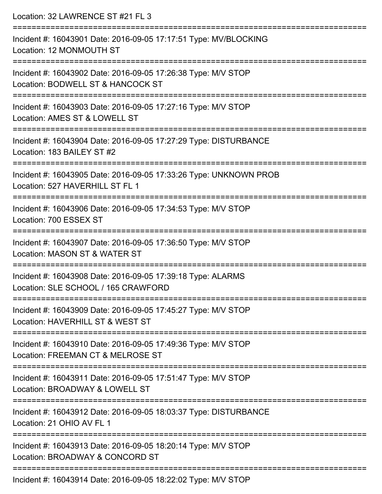| Location: 32 LAWRENCE ST #21 FL 3                                                                                                        |
|------------------------------------------------------------------------------------------------------------------------------------------|
| Incident #: 16043901 Date: 2016-09-05 17:17:51 Type: MV/BLOCKING<br>Location: 12 MONMOUTH ST                                             |
| Incident #: 16043902 Date: 2016-09-05 17:26:38 Type: M/V STOP<br>Location: BODWELL ST & HANCOCK ST                                       |
| Incident #: 16043903 Date: 2016-09-05 17:27:16 Type: M/V STOP<br>Location: AMES ST & LOWELL ST                                           |
| Incident #: 16043904 Date: 2016-09-05 17:27:29 Type: DISTURBANCE<br>Location: 183 BAILEY ST #2                                           |
| Incident #: 16043905 Date: 2016-09-05 17:33:26 Type: UNKNOWN PROB<br>Location: 527 HAVERHILL ST FL 1                                     |
| Incident #: 16043906 Date: 2016-09-05 17:34:53 Type: M/V STOP<br>Location: 700 ESSEX ST                                                  |
| Incident #: 16043907 Date: 2016-09-05 17:36:50 Type: M/V STOP<br>Location: MASON ST & WATER ST                                           |
| ==================================<br>Incident #: 16043908 Date: 2016-09-05 17:39:18 Type: ALARMS<br>Location: SLE SCHOOL / 165 CRAWFORD |
| -----------------------------<br>Incident #: 16043909 Date: 2016-09-05 17:45:27 Type: M/V STOP<br>Location: HAVERHILL ST & WEST ST       |
| Incident #: 16043910 Date: 2016-09-05 17:49:36 Type: M/V STOP<br>Location: FREEMAN CT & MELROSE ST                                       |
| Incident #: 16043911 Date: 2016-09-05 17:51:47 Type: M/V STOP<br>Location: BROADWAY & LOWELL ST                                          |
| ===============<br>Incident #: 16043912 Date: 2016-09-05 18:03:37 Type: DISTURBANCE<br>Location: 21 OHIO AV FL 1                         |
| Incident #: 16043913 Date: 2016-09-05 18:20:14 Type: M/V STOP<br>Location: BROADWAY & CONCORD ST                                         |
| Incident #: 16043914 Date: 2016-09-05 18:22:02 Type: M/V STOP                                                                            |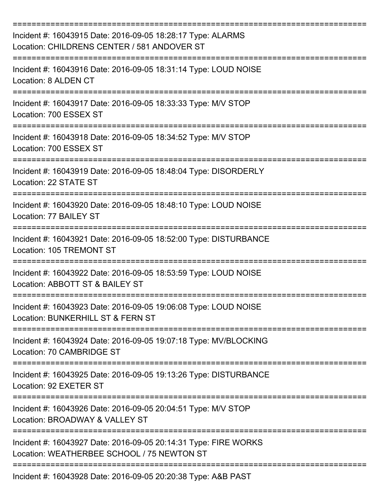| Incident #: 16043915 Date: 2016-09-05 18:28:17 Type: ALARMS<br>Location: CHILDRENS CENTER / 581 ANDOVER ST    |
|---------------------------------------------------------------------------------------------------------------|
| Incident #: 16043916 Date: 2016-09-05 18:31:14 Type: LOUD NOISE<br>Location: 8 ALDEN CT                       |
| Incident #: 16043917 Date: 2016-09-05 18:33:33 Type: M/V STOP<br>Location: 700 ESSEX ST                       |
| Incident #: 16043918 Date: 2016-09-05 18:34:52 Type: M/V STOP<br>Location: 700 ESSEX ST                       |
| Incident #: 16043919 Date: 2016-09-05 18:48:04 Type: DISORDERLY<br>Location: 22 STATE ST                      |
| Incident #: 16043920 Date: 2016-09-05 18:48:10 Type: LOUD NOISE<br>Location: 77 BAILEY ST                     |
| Incident #: 16043921 Date: 2016-09-05 18:52:00 Type: DISTURBANCE<br>Location: 105 TREMONT ST<br>==========    |
| Incident #: 16043922 Date: 2016-09-05 18:53:59 Type: LOUD NOISE<br>Location: ABBOTT ST & BAILEY ST            |
| Incident #: 16043923 Date: 2016-09-05 19:06:08 Type: LOUD NOISE<br>Location: BUNKERHILL ST & FERN ST          |
| Incident #: 16043924 Date: 2016-09-05 19:07:18 Type: MV/BLOCKING<br>Location: 70 CAMBRIDGE ST                 |
| Incident #: 16043925 Date: 2016-09-05 19:13:26 Type: DISTURBANCE<br>Location: 92 EXETER ST                    |
| Incident #: 16043926 Date: 2016-09-05 20:04:51 Type: M/V STOP<br>Location: BROADWAY & VALLEY ST               |
| Incident #: 16043927 Date: 2016-09-05 20:14:31 Type: FIRE WORKS<br>Location: WEATHERBEE SCHOOL / 75 NEWTON ST |
| Incident #: 16043928 Date: 2016-09-05 20:20:38 Type: A&B PAST                                                 |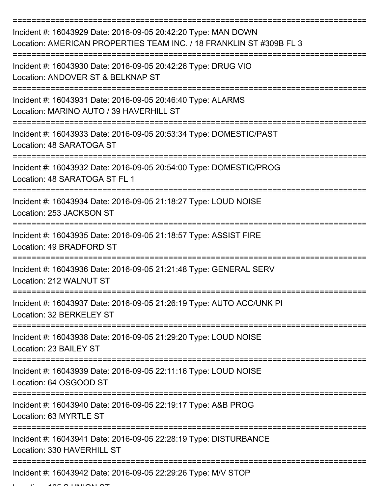| Incident #: 16043929 Date: 2016-09-05 20:42:20 Type: MAN DOWN<br>Location: AMERICAN PROPERTIES TEAM INC. / 18 FRANKLIN ST #309B FL 3 |
|--------------------------------------------------------------------------------------------------------------------------------------|
| Incident #: 16043930 Date: 2016-09-05 20:42:26 Type: DRUG VIO<br>Location: ANDOVER ST & BELKNAP ST                                   |
| Incident #: 16043931 Date: 2016-09-05 20:46:40 Type: ALARMS<br>Location: MARINO AUTO / 39 HAVERHILL ST                               |
| Incident #: 16043933 Date: 2016-09-05 20:53:34 Type: DOMESTIC/PAST<br>Location: 48 SARATOGA ST                                       |
| Incident #: 16043932 Date: 2016-09-05 20:54:00 Type: DOMESTIC/PROG<br>Location: 48 SARATOGA ST FL 1                                  |
| Incident #: 16043934 Date: 2016-09-05 21:18:27 Type: LOUD NOISE<br>Location: 253 JACKSON ST                                          |
| Incident #: 16043935 Date: 2016-09-05 21:18:57 Type: ASSIST FIRE<br>Location: 49 BRADFORD ST                                         |
| ===========<br>Incident #: 16043936 Date: 2016-09-05 21:21:48 Type: GENERAL SERV<br>Location: 212 WALNUT ST                          |
| Incident #: 16043937 Date: 2016-09-05 21:26:19 Type: AUTO ACC/UNK PI<br>Location: 32 BERKELEY ST                                     |
| Incident #: 16043938 Date: 2016-09-05 21:29:20 Type: LOUD NOISE<br>Location: 23 BAILEY ST                                            |
| Incident #: 16043939 Date: 2016-09-05 22:11:16 Type: LOUD NOISE<br>Location: 64 OSGOOD ST                                            |
| Incident #: 16043940 Date: 2016-09-05 22:19:17 Type: A&B PROG<br>Location: 63 MYRTLE ST                                              |
| Incident #: 16043941 Date: 2016-09-05 22:28:19 Type: DISTURBANCE<br>Location: 330 HAVERHILL ST                                       |
| Incident #: 16043942 Date: 2016-09-05 22:29:26 Type: M/V STOP                                                                        |